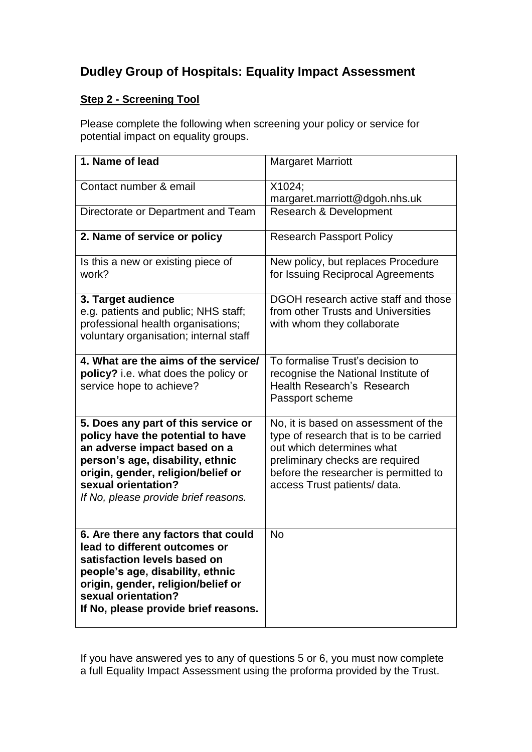## **Dudley Group of Hospitals: Equality Impact Assessment**

## **Step 2 - Screening Tool**

Please complete the following when screening your policy or service for potential impact on equality groups.

| 1. Name of lead                                                                                                                                                                                                                                   | <b>Margaret Marriott</b>                                                                                                                                                                                                |
|---------------------------------------------------------------------------------------------------------------------------------------------------------------------------------------------------------------------------------------------------|-------------------------------------------------------------------------------------------------------------------------------------------------------------------------------------------------------------------------|
| Contact number & email                                                                                                                                                                                                                            | X1024;<br>margaret.marriott@dgoh.nhs.uk                                                                                                                                                                                 |
| Directorate or Department and Team                                                                                                                                                                                                                | Research & Development                                                                                                                                                                                                  |
| 2. Name of service or policy                                                                                                                                                                                                                      | <b>Research Passport Policy</b>                                                                                                                                                                                         |
| Is this a new or existing piece of<br>work?                                                                                                                                                                                                       | New policy, but replaces Procedure<br>for Issuing Reciprocal Agreements                                                                                                                                                 |
| 3. Target audience<br>e.g. patients and public; NHS staff;<br>professional health organisations;<br>voluntary organisation; internal staff                                                                                                        | DGOH research active staff and those<br>from other Trusts and Universities<br>with whom they collaborate                                                                                                                |
| 4. What are the aims of the service/<br>policy? i.e. what does the policy or<br>service hope to achieve?                                                                                                                                          | To formalise Trust's decision to<br>recognise the National Institute of<br>Health Research's Research<br>Passport scheme                                                                                                |
| 5. Does any part of this service or<br>policy have the potential to have<br>an adverse impact based on a<br>person's age, disability, ethnic<br>origin, gender, religion/belief or<br>sexual orientation?<br>If No, please provide brief reasons. | No, it is based on assessment of the<br>type of research that is to be carried<br>out which determines what<br>preliminary checks are required<br>before the researcher is permitted to<br>access Trust patients/ data. |
| 6. Are there any factors that could<br>lead to different outcomes or<br>satisfaction levels based on<br>people's age, disability, ethnic<br>origin, gender, religion/belief or<br>sexual orientation?<br>If No, please provide brief reasons.     | <b>No</b>                                                                                                                                                                                                               |

If you have answered yes to any of questions 5 or 6, you must now complete a full Equality Impact Assessment using the proforma provided by the Trust.